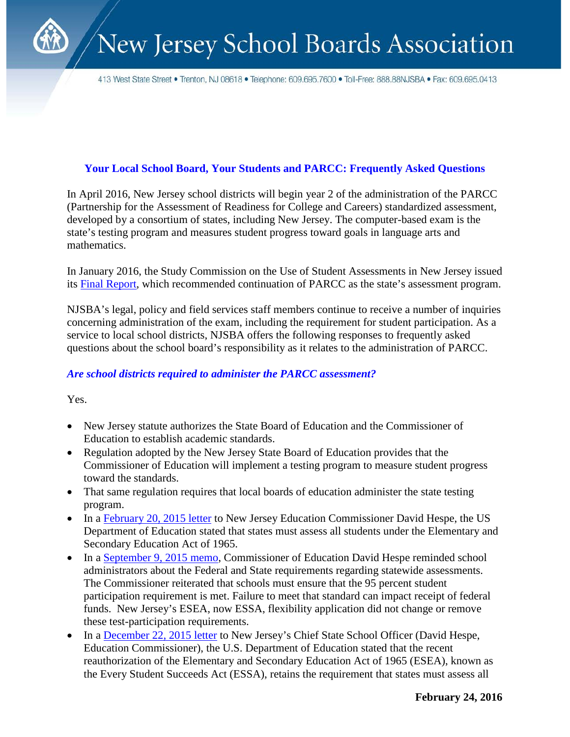413 West State Street • Trenton, NJ 08618 • Telephone: 609.695.7600 • Toll-Free: 888.88NJSBA • Fax: 609.695.0413

### **Your Local School Board, Your Students and PARCC: Frequently Asked Questions**

In April 2016, New Jersey school districts will begin year 2 of the administration of the PARCC (Partnership for the Assessment of Readiness for College and Careers) standardized assessment, developed by a consortium of states, including New Jersey. The computer-based exam is the state's testing program and measures student progress toward goals in language arts and mathematics.

In January 2016, the Study Commission on the Use of Student Assessments in New Jersey issued its [Final Report,](http://www.state.nj.us/education/studycommission/FinalReport.pdf) which recommended continuation of PARCC as the state's assessment program.

NJSBA's legal, policy and field services staff members continue to receive a number of inquiries concerning administration of the exam, including the requirement for student participation. As a service to local school districts, NJSBA offers the following responses to frequently asked questions about the school board's responsibility as it relates to the administration of PARCC.

#### *Are school districts required to administer the PARCC assessment?*

Yes.

- New Jersey statute authorizes the State Board of Education and the Commissioner of Education to establish academic standards.
- Regulation adopted by the New Jersey State Board of Education provides that the Commissioner of Education will implement a testing program to measure student progress toward the standards.
- That same regulation requires that local boards of education administer the state testing program.
- In a [February 20, 2015 letter](http://www.njsba.org/news/pdfs/nj-assessment-letter-2-20-2015.pdf) to New Jersey Education Commissioner David Hespe, the US Department of Education stated that states must assess all students under the Elementary and Secondary Education Act of 1965.
- In a [September 9, 2015 memo,](https://education.state.nj.us/broadcasts/2015/SEP/09/14046/Participation%20Guidance.pdf) Commissioner of Education David Hespe reminded school administrators about the Federal and State requirements regarding statewide assessments. The Commissioner reiterated that schools must ensure that the 95 percent student participation requirement is met. Failure to meet that standard can impact receipt of federal funds. New Jersey's ESEA, now ESSA, flexibility application did not change or remove these test-participation requirements.
- In a [December 22, 2015 letter](http://www2.ed.gov/policy/elsec/guid/stateletters/eseadclpartrate12222015.pdf) to New Jersey's Chief State School Officer (David Hespe, Education Commissioner), the U.S. Department of Education stated that the recent reauthorization of the Elementary and Secondary Education Act of 1965 (ESEA), known as the Every Student Succeeds Act (ESSA), retains the requirement that states must assess all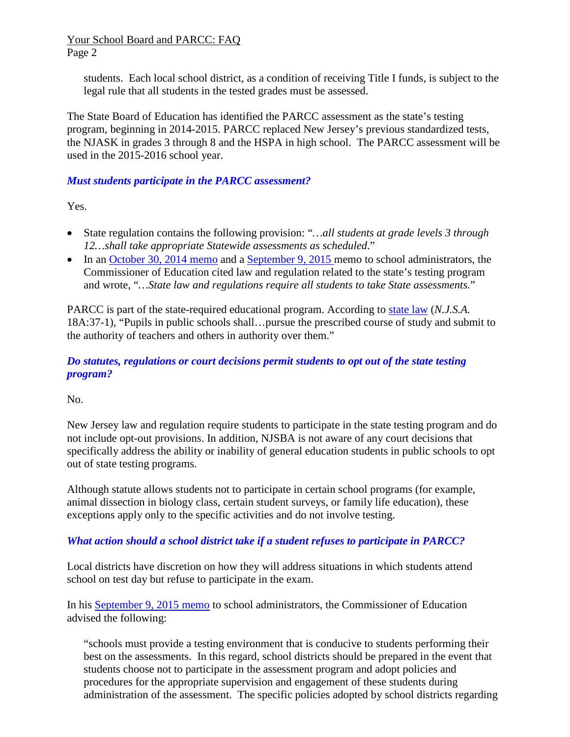#### Your School Board and PARCC: FAQ Page 2

students. Each local school district, as a condition of receiving Title I funds, is subject to the legal rule that all students in the tested grades must be assessed.

The State Board of Education has identified the PARCC assessment as the state's testing program, beginning in 2014-2015. PARCC replaced New Jersey's previous standardized tests, the NJASK in grades 3 through 8 and the HSPA in high school. The PARCC assessment will be used in the 2015-2016 school year.

### *Must students participate in the PARCC assessment?*

Yes.

- State regulation contains the following provision: "*…all students at grade levels 3 through 12…shall take appropriate Statewide assessments as scheduled*."
- In an [October 30, 2014](http://education.state.nj.us/broadcasts/2014/OCT/30/12404/Students%20Participation%20in%20the%20Statewide%20Assessment%20Program.pdf) memo and a [September 9, 2015 m](https://education.state.nj.us/broadcasts/2015/SEP/09/14046/Participation%20Guidance.pdf)emo to school administrators, the Commissioner of Education cited law and regulation related to the state's testing program and wrote, "*…State law and regulations require all students to take State assessments.*"

PARCC is part of the state-required educational program. According to [state law](http://lis.njleg.state.nj.us/cgi-bin/om_isapi.dll?clientID=252657&Depth=2&depth=2&expandheadings=on&headingswithhits=on&hitsperheading=on&infobase=statutes.nfo&record=%7b85D7%7d&softpage=Doc_Frame_PG42) (*N.J.S.A.*  18A:37-1), "Pupils in public schools shall…pursue the prescribed course of study and submit to the authority of teachers and others in authority over them."

### *Do statutes, regulations or court decisions permit students to opt out of the state testing program?*

No.

New Jersey law and regulation require students to participate in the state testing program and do not include opt-out provisions. In addition, NJSBA is not aware of any court decisions that specifically address the ability or inability of general education students in public schools to opt out of state testing programs.

Although statute allows students not to participate in certain school programs (for example, animal dissection in biology class, certain student surveys, or family life education), these exceptions apply only to the specific activities and do not involve testing.

# *What action should a school district take if a student refuses to participate in PARCC?*

Local districts have discretion on how they will address situations in which students attend school on test day but refuse to participate in the exam.

In his [September 9, 2015 memo](https://education.state.nj.us/broadcasts/2015/SEP/09/14046/Participation%20Guidance.pdf) to school administrators, the Commissioner of Education advised the following:

"schools must provide a testing environment that is conducive to students performing their best on the assessments. In this regard, school districts should be prepared in the event that students choose not to participate in the assessment program and adopt policies and procedures for the appropriate supervision and engagement of these students during administration of the assessment. The specific policies adopted by school districts regarding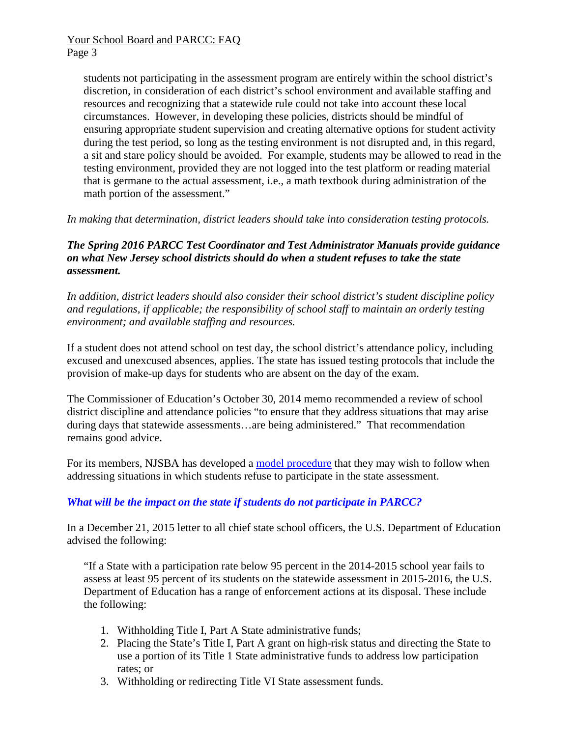students not participating in the assessment program are entirely within the school district's discretion, in consideration of each district's school environment and available staffing and resources and recognizing that a statewide rule could not take into account these local circumstances. However, in developing these policies, districts should be mindful of ensuring appropriate student supervision and creating alternative options for student activity during the test period, so long as the testing environment is not disrupted and, in this regard, a sit and stare policy should be avoided. For example, students may be allowed to read in the testing environment, provided they are not logged into the test platform or reading material that is germane to the actual assessment, i.e., a math textbook during administration of the math portion of the assessment."

*In making that determination, district leaders should take into consideration testing protocols.*

#### *The Spring 2016 PARCC Test Coordinator and Test Administrator Manuals provide guidance on what New Jersey school districts should do when a student refuses to take the state assessment.*

*In addition, district leaders should also consider their school district's student discipline policy and regulations, if applicable; the responsibility of school staff to maintain an orderly testing environment; and available staffing and resources.*

If a student does not attend school on test day, the school district's attendance policy, including excused and unexcused absences, applies. The state has issued testing protocols that include the provision of make-up days for students who are absent on the day of the exam.

The Commissioner of Education's October 30, 2014 memo recommended a review of school district discipline and attendance policies "to ensure that they address situations that may arise during days that statewide assessments…are being administered." That recommendation remains good advice.

For its members, NJSBA has developed a [model procedure](http://www.njsba.org/resources/legal/pdfs/5131-conduct-and-discipline-test-refusal-regulation.rtf) that they may wish to follow when addressing situations in which students refuse to participate in the state assessment.

# *What will be the impact on the state if students do not participate in PARCC?*

In a December 21, 2015 letter to all chief state school officers, the U.S. Department of Education advised the following:

"If a State with a participation rate below 95 percent in the 2014-2015 school year fails to assess at least 95 percent of its students on the statewide assessment in 2015-2016, the U.S. Department of Education has a range of enforcement actions at its disposal. These include the following:

- 1. Withholding Title I, Part A State administrative funds;
- 2. Placing the State's Title I, Part A grant on high-risk status and directing the State to use a portion of its Title 1 State administrative funds to address low participation rates; or
- 3. Withholding or redirecting Title VI State assessment funds.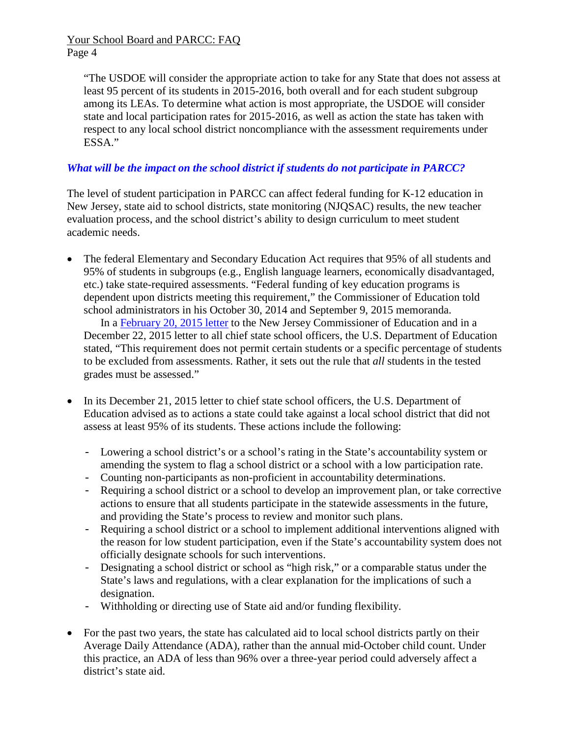Your School Board and PARCC: FAQ Page 4

"The USDOE will consider the appropriate action to take for any State that does not assess at least 95 percent of its students in 2015-2016, both overall and for each student subgroup among its LEAs. To determine what action is most appropriate, the USDOE will consider state and local participation rates for 2015-2016, as well as action the state has taken with respect to any local school district noncompliance with the assessment requirements under ESSA."

#### *What will be the impact on the school district if students do not participate in PARCC?*

The level of student participation in PARCC can affect federal funding for K-12 education in New Jersey, state aid to school districts, state monitoring (NJQSAC) results, the new teacher evaluation process, and the school district's ability to design curriculum to meet student academic needs.

• The federal Elementary and Secondary Education Act requires that 95% of all students and 95% of students in subgroups (e.g., English language learners, economically disadvantaged, etc.) take state-required assessments. "Federal funding of key education programs is dependent upon districts meeting this requirement," the Commissioner of Education told school administrators in his October 30, 2014 and September 9, 2015 memoranda.

In a [February 20, 2015 letter](http://www.njsba.org/news/pdfs/nj-assessment-letter-2-20-2015.pdf) to the New Jersey Commissioner of Education and in a December 22, 2015 letter to all chief state school officers, the U.S. Department of Education stated, "This requirement does not permit certain students or a specific percentage of students to be excluded from assessments. Rather, it sets out the rule that *all* students in the tested grades must be assessed."

- In its December 21, 2015 letter to chief state school officers, the U.S. Department of Education advised as to actions a state could take against a local school district that did not assess at least 95% of its students. These actions include the following:
	- Lowering a school district's or a school's rating in the State's accountability system or amending the system to flag a school district or a school with a low participation rate.
	- Counting non-participants as non-proficient in accountability determinations.
	- Requiring a school district or a school to develop an improvement plan, or take corrective actions to ensure that all students participate in the statewide assessments in the future, and providing the State's process to review and monitor such plans.
	- Requiring a school district or a school to implement additional interventions aligned with the reason for low student participation, even if the State's accountability system does not officially designate schools for such interventions.
	- Designating a school district or school as "high risk," or a comparable status under the State's laws and regulations, with a clear explanation for the implications of such a designation.
	- Withholding or directing use of State aid and/or funding flexibility.
- For the past two years, the state has calculated aid to local school districts partly on their Average Daily Attendance (ADA), rather than the annual mid-October child count. Under this practice, an ADA of less than 96% over a three-year period could adversely affect a district's state aid.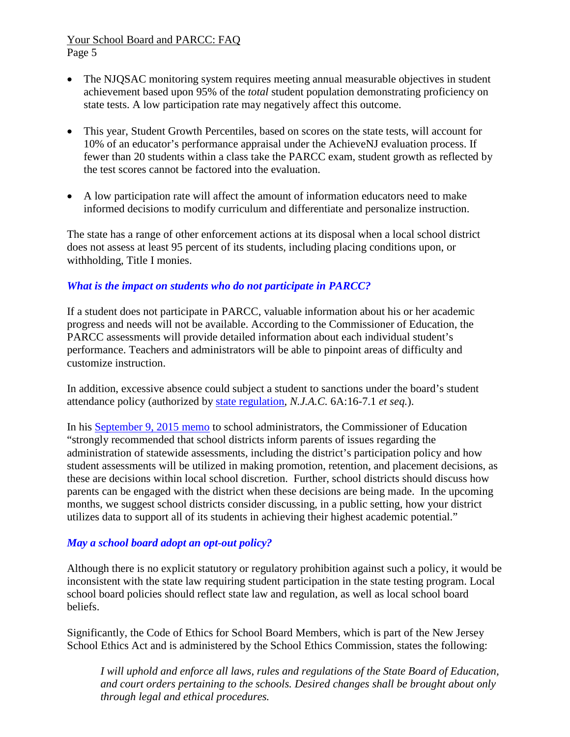#### Your School Board and PARCC: FAQ Page 5

- The NJQSAC monitoring system requires meeting annual measurable objectives in student achievement based upon 95% of the *total* student population demonstrating proficiency on state tests. A low participation rate may negatively affect this outcome.
- This year, Student Growth Percentiles, based on scores on the state tests, will account for 10% of an educator's performance appraisal under the AchieveNJ evaluation process. If fewer than 20 students within a class take the PARCC exam, student growth as reflected by the test scores cannot be factored into the evaluation.
- A low participation rate will affect the amount of information educators need to make informed decisions to modify curriculum and differentiate and personalize instruction.

The state has a range of other enforcement actions at its disposal when a local school district does not assess at least 95 percent of its students, including placing conditions upon, or withholding, Title I monies.

### *What is the impact on students who do not participate in PARCC?*

If a student does not participate in PARCC, valuable information about his or her academic progress and needs will not be available. According to the Commissioner of Education, the PARCC assessments will provide detailed information about each individual student's performance. Teachers and administrators will be able to pinpoint areas of difficulty and customize instruction.

In addition, excessive absence could subject a student to sanctions under the board's student attendance policy (authorized by [state regulation,](http://nj.gov/education/code/current/title6a/chap16.pdf) *N.J.A.C.* 6A:16-7.1 *et seq.*).

In his [September 9, 2015 memo](https://education.state.nj.us/broadcasts/2015/SEP/09/14046/Participation%20Guidance.pdf) to school administrators, the Commissioner of Education "strongly recommended that school districts inform parents of issues regarding the administration of statewide assessments, including the district's participation policy and how student assessments will be utilized in making promotion, retention, and placement decisions, as these are decisions within local school discretion. Further, school districts should discuss how parents can be engaged with the district when these decisions are being made. In the upcoming months, we suggest school districts consider discussing, in a public setting, how your district utilizes data to support all of its students in achieving their highest academic potential."

# *May a school board adopt an opt-out policy?*

Although there is no explicit statutory or regulatory prohibition against such a policy, it would be inconsistent with the state law requiring student participation in the state testing program. Local school board policies should reflect state law and regulation, as well as local school board beliefs.

Significantly, the Code of Ethics for School Board Members, which is part of the New Jersey School Ethics Act and is administered by the School Ethics Commission, states the following:

*I will uphold and enforce all laws, rules and regulations of the State Board of Education, and court orders pertaining to the schools. Desired changes shall be brought about only through legal and ethical procedures.*